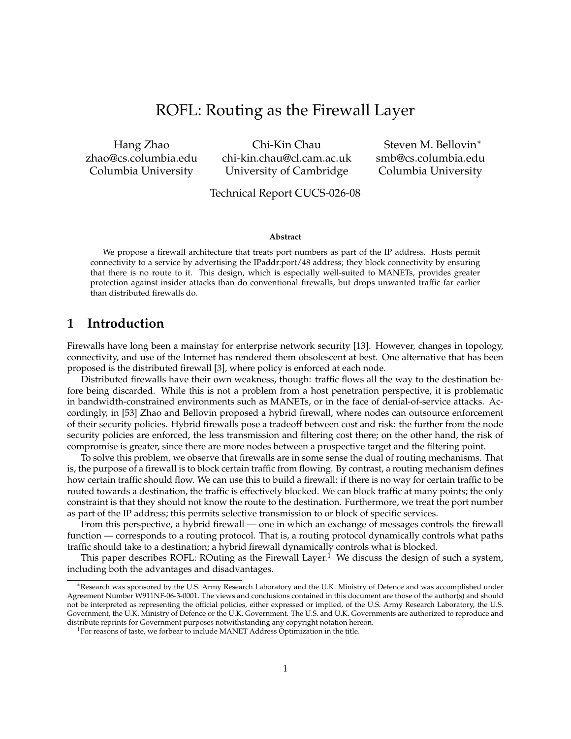# ROFL: Routing as the Firewall Layer

Hang Zhao zhao@cs.columbia.edu Columbia University

Chi-Kin Chau chi-kin.chau@cl.cam.ac.uk University of Cambridge

Steven M. Bellovin<sup>∗</sup> smb@cs.columbia.edu Columbia University

#### Technical Report CUCS-026-08

#### **Abstract**

We propose a firewall architecture that treats port numbers as part of the IP address. Hosts permit connectivity to a service by advertising the IPaddr:port/48 address; they block connectivity by ensuring that there is no route to it. This design, which is especially well-suited to MANETs, provides greater protection against insider attacks than do conventional firewalls, but drops unwanted traffic far earlier than distributed firewalls do.

### **1 Introduction**

Firewalls have long been a mainstay for enterprise network security [13]. However, changes in topology, connectivity, and use of the Internet has rendered them obsolescent at best. One alternative that has been proposed is the distributed firewall [3], where policy is enforced at each node.

Distributed firewalls have their own weakness, though: traffic flows all the way to the destination before being discarded. While this is not a problem from a host penetration perspective, it is problematic in bandwidth-constrained environments such as MANETs, or in the face of denial-of-service attacks. Accordingly, in [53] Zhao and Bellovin proposed a hybrid firewall, where nodes can outsource enforcement of their security policies. Hybrid firewalls pose a tradeoff between cost and risk: the further from the node security policies are enforced, the less transmission and filtering cost there; on the other hand, the risk of compromise is greater, since there are more nodes between a prospective target and the filtering point.

To solve this problem, we observe that firewalls are in some sense the dual of routing mechanisms. That is, the purpose of a firewall is to block certain traffic from flowing. By contrast, a routing mechanism defines how certain traffic should flow. We can use this to build a firewall: if there is no way for certain traffic to be routed towards a destination, the traffic is effectively blocked. We can block traffic at many points; the only constraint is that they should not know the route to the destination. Furthermore, we treat the port number as part of the IP address; this permits selective transmission to or block of specific services.

From this perspective, a hybrid firewall — one in which an exchange of messages controls the firewall function — corresponds to a routing protocol. That is, a routing protocol dynamically controls what paths traffic should take to a destination; a hybrid firewall dynamically controls what is blocked.

This paper describes ROFL: ROuting as the Firewall Layer.<sup>1</sup> We discuss the design of such a system, including both the advantages and disadvantages.

<sup>∗</sup>Research was sponsored by the U.S. Army Research Laboratory and the U.K. Ministry of Defence and was accomplished under Agreement Number W911NF-06-3-0001. The views and conclusions contained in this document are those of the author(s) and should not be interpreted as representing the official policies, either expressed or implied, of the U.S. Army Research Laboratory, the U.S. Government, the U.K. Ministry of Defence or the U.K. Government. The U.S. and U.K. Governments are authorized to reproduce and distribute reprints for Government purposes notwithstanding any copyright notation hereon.

<sup>&</sup>lt;sup>1</sup>For reasons of taste, we forbear to include MANET Address Optimization in the title.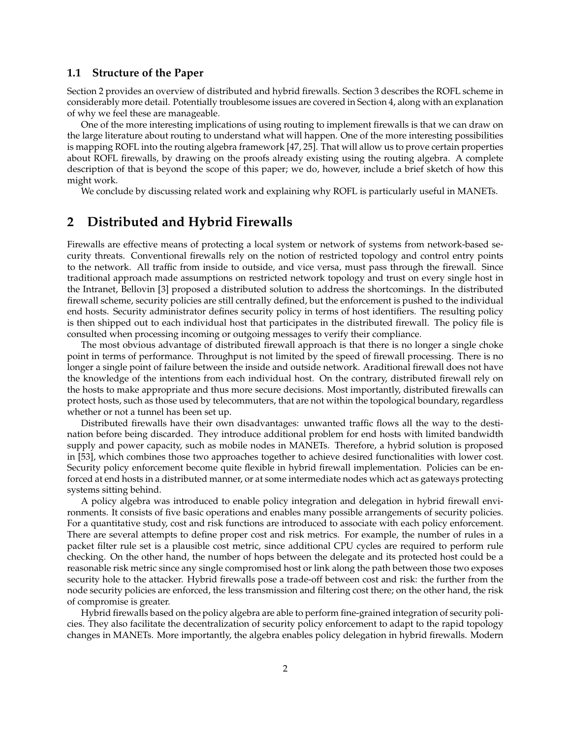#### **1.1 Structure of the Paper**

Section 2 provides an overview of distributed and hybrid firewalls. Section 3 describes the ROFL scheme in considerably more detail. Potentially troublesome issues are covered in Section 4, along with an explanation of why we feel these are manageable.

One of the more interesting implications of using routing to implement firewalls is that we can draw on the large literature about routing to understand what will happen. One of the more interesting possibilities is mapping ROFL into the routing algebra framework [47, 25]. That will allow us to prove certain properties about ROFL firewalls, by drawing on the proofs already existing using the routing algebra. A complete description of that is beyond the scope of this paper; we do, however, include a brief sketch of how this might work.

We conclude by discussing related work and explaining why ROFL is particularly useful in MANETs.

### **2 Distributed and Hybrid Firewalls**

Firewalls are effective means of protecting a local system or network of systems from network-based security threats. Conventional firewalls rely on the notion of restricted topology and control entry points to the network. All traffic from inside to outside, and vice versa, must pass through the firewall. Since traditional approach made assumptions on restricted network topology and trust on every single host in the Intranet, Bellovin [3] proposed a distributed solution to address the shortcomings. In the distributed firewall scheme, security policies are still centrally defined, but the enforcement is pushed to the individual end hosts. Security administrator defines security policy in terms of host identifiers. The resulting policy is then shipped out to each individual host that participates in the distributed firewall. The policy file is consulted when processing incoming or outgoing messages to verify their compliance.

The most obvious advantage of distributed firewall approach is that there is no longer a single choke point in terms of performance. Throughput is not limited by the speed of firewall processing. There is no longer a single point of failure between the inside and outside network. Araditional firewall does not have the knowledge of the intentions from each individual host. On the contrary, distributed firewall rely on the hosts to make appropriate and thus more secure decisions. Most importantly, distributed firewalls can protect hosts, such as those used by telecommuters, that are not within the topological boundary, regardless whether or not a tunnel has been set up.

Distributed firewalls have their own disadvantages: unwanted traffic flows all the way to the destination before being discarded. They introduce additional problem for end hosts with limited bandwidth supply and power capacity, such as mobile nodes in MANETs. Therefore, a hybrid solution is proposed in [53], which combines those two approaches together to achieve desired functionalities with lower cost. Security policy enforcement become quite flexible in hybrid firewall implementation. Policies can be enforced at end hosts in a distributed manner, or at some intermediate nodes which act as gateways protecting systems sitting behind.

A policy algebra was introduced to enable policy integration and delegation in hybrid firewall environments. It consists of five basic operations and enables many possible arrangements of security policies. For a quantitative study, cost and risk functions are introduced to associate with each policy enforcement. There are several attempts to define proper cost and risk metrics. For example, the number of rules in a packet filter rule set is a plausible cost metric, since additional CPU cycles are required to perform rule checking. On the other hand, the number of hops between the delegate and its protected host could be a reasonable risk metric since any single compromised host or link along the path between those two exposes security hole to the attacker. Hybrid firewalls pose a trade-off between cost and risk: the further from the node security policies are enforced, the less transmission and filtering cost there; on the other hand, the risk of compromise is greater.

Hybrid firewalls based on the policy algebra are able to perform fine-grained integration of security policies. They also facilitate the decentralization of security policy enforcement to adapt to the rapid topology changes in MANETs. More importantly, the algebra enables policy delegation in hybrid firewalls. Modern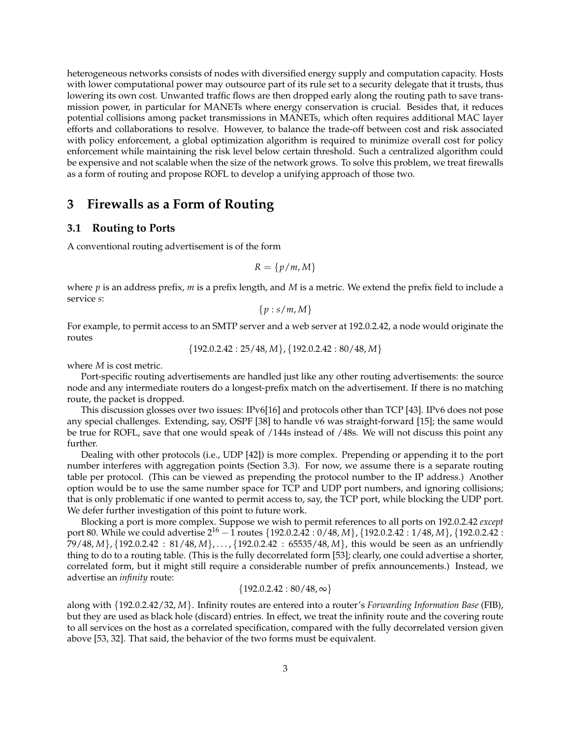heterogeneous networks consists of nodes with diversified energy supply and computation capacity. Hosts with lower computational power may outsource part of its rule set to a security delegate that it trusts, thus lowering its own cost. Unwanted traffic flows are then dropped early along the routing path to save transmission power, in particular for MANETs where energy conservation is crucial. Besides that, it reduces potential collisions among packet transmissions in MANETs, which often requires additional MAC layer efforts and collaborations to resolve. However, to balance the trade-off between cost and risk associated with policy enforcement, a global optimization algorithm is required to minimize overall cost for policy enforcement while maintaining the risk level below certain threshold. Such a centralized algorithm could be expensive and not scalable when the size of the network grows. To solve this problem, we treat firewalls as a form of routing and propose ROFL to develop a unifying approach of those two.

### **3 Firewalls as a Form of Routing**

#### **3.1 Routing to Ports**

A conventional routing advertisement is of the form

$$
R = \{p/m, M\}
$$

where *p* is an address prefix, *m* is a prefix length, and *M* is a metric. We extend the prefix field to include a service *s*:

$$
\{p:s/m,M\}
$$

For example, to permit access to an SMTP server and a web server at 192.0.2.42, a node would originate the routes

{192.0.2.42 : 25/48, *M*}, {192.0.2.42 : 80/48, *M*}

where *M* is cost metric.

Port-specific routing advertisements are handled just like any other routing advertisements: the source node and any intermediate routers do a longest-prefix match on the advertisement. If there is no matching route, the packet is dropped.

This discussion glosses over two issues: IPv6[16] and protocols other than TCP [43]. IPv6 does not pose any special challenges. Extending, say, OSPF [38] to handle v6 was straight-forward [15]; the same would be true for ROFL, save that one would speak of /144s instead of /48s. We will not discuss this point any further.

Dealing with other protocols (i.e., UDP [42]) is more complex. Prepending or appending it to the port number interferes with aggregation points (Section 3.3). For now, we assume there is a separate routing table per protocol. (This can be viewed as prepending the protocol number to the IP address.) Another option would be to use the same number space for TCP and UDP port numbers, and ignoring collisions; that is only problematic if one wanted to permit access to, say, the TCP port, while blocking the UDP port. We defer further investigation of this point to future work.

Blocking a port is more complex. Suppose we wish to permit references to all ports on 192.0.2.42 *except* port 80. While we could advertise  $2^{16}$  – 1 routes {192.0.2.42 : 0/48, *M*}, {192.0.2.42 : 1/48, *M*}, {192.0.2.42 : 79/48, *M*}, {192.0.2.42 : 81/48, *M*}, . . . , {192.0.2.42 : 65535/48, *M*}, this would be seen as an unfriendly thing to do to a routing table. (This is the fully decorrelated form [53]; clearly, one could advertise a shorter, correlated form, but it might still require a considerable number of prefix announcements.) Instead, we advertise an *infinity* route:

$$
\{192.0.2.42:80/48,\infty\}
$$

along with {192.0.2.42/32, *M*}. Infinity routes are entered into a router's *Forwarding Information Base* (FIB), but they are used as black hole (discard) entries. In effect, we treat the infinity route and the covering route to all services on the host as a correlated specification, compared with the fully decorrelated version given above [53, 32]. That said, the behavior of the two forms must be equivalent.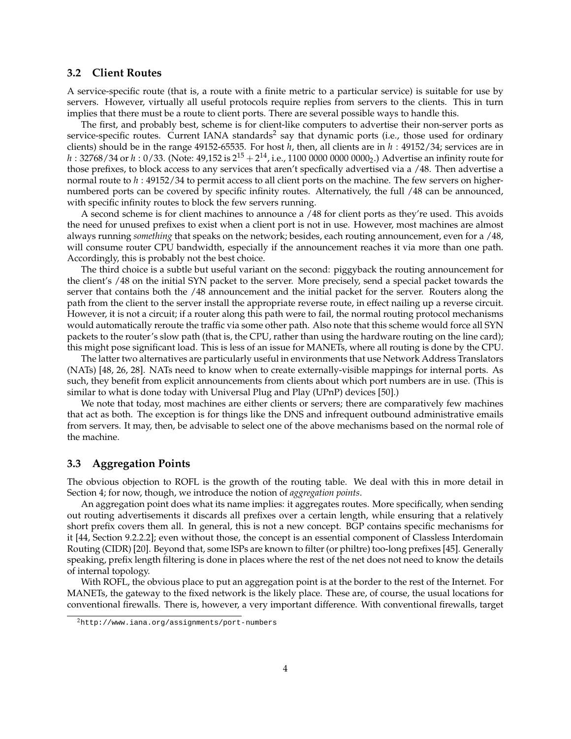#### **3.2 Client Routes**

A service-specific route (that is, a route with a finite metric to a particular service) is suitable for use by servers. However, virtually all useful protocols require replies from servers to the clients. This in turn implies that there must be a route to client ports. There are several possible ways to handle this.

The first, and probably best, scheme is for client-like computers to advertise their non-server ports as service-specific routes. Current IANA standards<sup>2</sup> say that dynamic ports (i.e., those used for ordinary clients) should be in the range 49152-65535. For host *h*, then, all clients are in *h* : 49152/34; services are in  $h$  : 32768/34 or  $h$  : 0/33. (Note: 49,152 is  $2^{15}+2^{14}$ , i.e., 1100 0000 0000 0000<sub>2</sub>.) Advertise an infinity route for those prefixes, to block access to any services that aren't specfically advertised via a /48. Then advertise a normal route to *h* : 49152/34 to permit access to all client ports on the machine. The few servers on highernumbered ports can be covered by specific infinity routes. Alternatively, the full /48 can be announced, with specific infinity routes to block the few servers running.

A second scheme is for client machines to announce a /48 for client ports as they're used. This avoids the need for unused prefixes to exist when a client port is not in use. However, most machines are almost always running *something* that speaks on the network; besides, each routing announcement, even for a /48, will consume router CPU bandwidth, especially if the announcement reaches it via more than one path. Accordingly, this is probably not the best choice.

The third choice is a subtle but useful variant on the second: piggyback the routing announcement for the client's /48 on the initial SYN packet to the server. More precisely, send a special packet towards the server that contains both the /48 announcement and the initial packet for the server. Routers along the path from the client to the server install the appropriate reverse route, in effect nailing up a reverse circuit. However, it is not a circuit; if a router along this path were to fail, the normal routing protocol mechanisms would automatically reroute the traffic via some other path. Also note that this scheme would force all SYN packets to the router's slow path (that is, the CPU, rather than using the hardware routing on the line card); this might pose significant load. This is less of an issue for MANETs, where all routing is done by the CPU.

The latter two alternatives are particularly useful in environments that use Network Address Translators (NATs) [48, 26, 28]. NATs need to know when to create externally-visible mappings for internal ports. As such, they benefit from explicit announcements from clients about which port numbers are in use. (This is similar to what is done today with Universal Plug and Play (UPnP) devices [50].)

We note that today, most machines are either clients or servers; there are comparatively few machines that act as both. The exception is for things like the DNS and infrequent outbound administrative emails from servers. It may, then, be advisable to select one of the above mechanisms based on the normal role of the machine.

#### **3.3 Aggregation Points**

The obvious objection to ROFL is the growth of the routing table. We deal with this in more detail in Section 4; for now, though, we introduce the notion of *aggregation points*.

An aggregation point does what its name implies: it aggregates routes. More specifically, when sending out routing advertisements it discards all prefixes over a certain length, while ensuring that a relatively short prefix covers them all. In general, this is not a new concept. BGP contains specific mechanisms for it [44, Section 9.2.2.2]; even without those, the concept is an essential component of Classless Interdomain Routing (CIDR) [20]. Beyond that, some ISPs are known to filter (or philtre) too-long prefixes [45]. Generally speaking, prefix length filtering is done in places where the rest of the net does not need to know the details of internal topology.

With ROFL, the obvious place to put an aggregation point is at the border to the rest of the Internet. For MANETs, the gateway to the fixed network is the likely place. These are, of course, the usual locations for conventional firewalls. There is, however, a very important difference. With conventional firewalls, target

<sup>2</sup>http://www.iana.org/assignments/port-numbers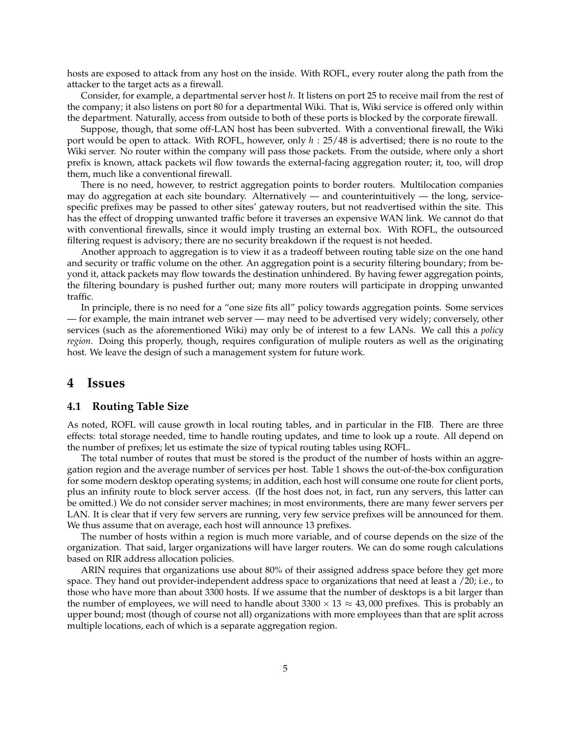hosts are exposed to attack from any host on the inside. With ROFL, every router along the path from the attacker to the target acts as a firewall.

Consider, for example, a departmental server host *h*. It listens on port 25 to receive mail from the rest of the company; it also listens on port 80 for a departmental Wiki. That is, Wiki service is offered only within the department. Naturally, access from outside to both of these ports is blocked by the corporate firewall.

Suppose, though, that some off-LAN host has been subverted. With a conventional firewall, the Wiki port would be open to attack. With ROFL, however, only *h* : 25/48 is advertised; there is no route to the Wiki server. No router within the company will pass those packets. From the outside, where only a short prefix is known, attack packets wil flow towards the external-facing aggregation router; it, too, will drop them, much like a conventional firewall.

There is no need, however, to restrict aggregation points to border routers. Multilocation companies may do aggregation at each site boundary. Alternatively — and counterintuitively — the long, servicespecific prefixes may be passed to other sites' gateway routers, but not readvertised within the site. This has the effect of dropping unwanted traffic before it traverses an expensive WAN link. We cannot do that with conventional firewalls, since it would imply trusting an external box. With ROFL, the outsourced filtering request is advisory; there are no security breakdown if the request is not heeded.

Another approach to aggregation is to view it as a tradeoff between routing table size on the one hand and security or traffic volume on the other. An aggregation point is a security filtering boundary; from beyond it, attack packets may flow towards the destination unhindered. By having fewer aggregation points, the filtering boundary is pushed further out; many more routers will participate in dropping unwanted traffic.

In principle, there is no need for a "one size fits all" policy towards aggregation points. Some services — for example, the main intranet web server — may need to be advertised very widely; conversely, other services (such as the aforementioned Wiki) may only be of interest to a few LANs. We call this a *policy region*. Doing this properly, though, requires configuration of muliple routers as well as the originating host. We leave the design of such a management system for future work.

#### **4 Issues**

#### **4.1 Routing Table Size**

As noted, ROFL will cause growth in local routing tables, and in particular in the FIB. There are three effects: total storage needed, time to handle routing updates, and time to look up a route. All depend on the number of prefixes; let us estimate the size of typical routing tables using ROFL.

The total number of routes that must be stored is the product of the number of hosts within an aggregation region and the average number of services per host. Table 1 shows the out-of-the-box configuration for some modern desktop operating systems; in addition, each host will consume one route for client ports, plus an infinity route to block server access. (If the host does not, in fact, run any servers, this latter can be omitted.) We do not consider server machines; in most environments, there are many fewer servers per LAN. It is clear that if very few servers are running, very few service prefixes will be announced for them. We thus assume that on average, each host will announce 13 prefixes.

The number of hosts within a region is much more variable, and of course depends on the size of the organization. That said, larger organizations will have larger routers. We can do some rough calculations based on RIR address allocation policies.

ARIN requires that organizations use about 80% of their assigned address space before they get more space. They hand out provider-independent address space to organizations that need at least a /20; i.e., to those who have more than about 3300 hosts. If we assume that the number of desktops is a bit larger than the number of employees, we will need to handle about  $3300 \times 13 \approx 43,000$  prefixes. This is probably an upper bound; most (though of course not all) organizations with more employees than that are split across multiple locations, each of which is a separate aggregation region.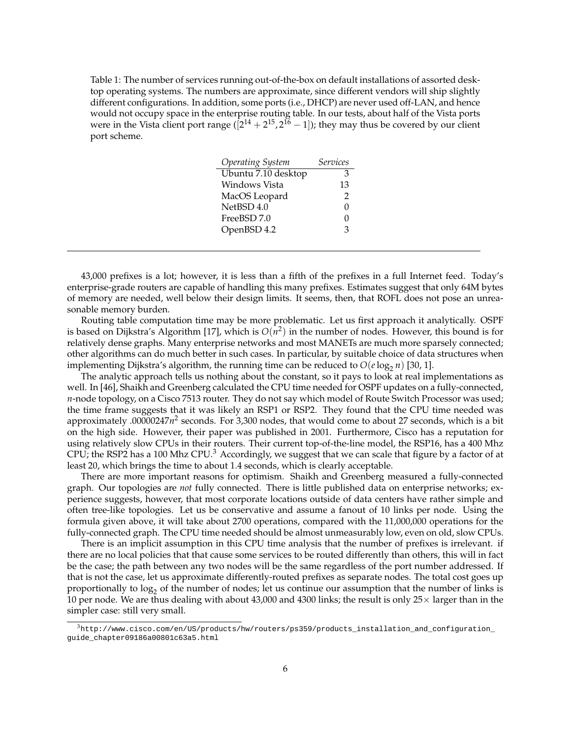Table 1: The number of services running out-of-the-box on default installations of assorted desktop operating systems. The numbers are approximate, since different vendors will ship slightly different configurations. In addition, some ports (i.e., DHCP) are never used off-LAN, and hence would not occupy space in the enterprise routing table. In our tests, about half of the Vista ports were in the Vista client port range ( $[2^{14} + 2^{15}, 2^{16} - 1]$ ); they may thus be covered by our client port scheme.

| <b>Services</b> |
|-----------------|
| 3               |
| 13              |
| 2               |
| 0               |
| 0               |
| 3               |
|                 |

43,000 prefixes is a lot; however, it is less than a fifth of the prefixes in a full Internet feed. Today's enterprise-grade routers are capable of handling this many prefixes. Estimates suggest that only 64M bytes of memory are needed, well below their design limits. It seems, then, that ROFL does not pose an unreasonable memory burden.

Routing table computation time may be more problematic. Let us first approach it analytically. OSPF is based on Dijkstra's Algorithm [17], which is  $O(n^2)$  in the number of nodes. However, this bound is for relatively dense graphs. Many enterprise networks and most MANETs are much more sparsely connected; other algorithms can do much better in such cases. In particular, by suitable choice of data structures when implementing Dijkstra's algorithm, the running time can be reduced to  $O(e \log_2 n)$  [30, 1].

The analytic approach tells us nothing about the constant, so it pays to look at real implementations as well. In [46], Shaikh and Greenberg calculated the CPU time needed for OSPF updates on a fully-connected, *n*-node topology, on a Cisco 7513 router. They do not say which model of Route Switch Processor was used; the time frame suggests that it was likely an RSP1 or RSP2. They found that the CPU time needed was approximately .00000247*n* 2 seconds. For 3,300 nodes, that would come to about 27 seconds, which is a bit on the high side. However, their paper was published in 2001. Furthermore, Cisco has a reputation for using relatively slow CPUs in their routers. Their current top-of-the-line model, the RSP16, has a 400 Mhz CPU; the RSP2 has a 100 Mhz CPU. $3$  Accordingly, we suggest that we can scale that figure by a factor of at least 20, which brings the time to about 1.4 seconds, which is clearly acceptable.

There are more important reasons for optimism. Shaikh and Greenberg measured a fully-connected graph. Our topologies are *not* fully connected. There is little published data on enterprise networks; experience suggests, however, that most corporate locations outside of data centers have rather simple and often tree-like topologies. Let us be conservative and assume a fanout of 10 links per node. Using the formula given above, it will take about 2700 operations, compared with the 11,000,000 operations for the fully-connected graph. The CPU time needed should be almost unmeasurably low, even on old, slow CPUs.

There is an implicit assumption in this CPU time analysis that the number of prefixes is irrelevant. if there are no local policies that that cause some services to be routed differently than others, this will in fact be the case; the path between any two nodes will be the same regardless of the port number addressed. If that is not the case, let us approximate differently-routed prefixes as separate nodes. The total cost goes up proportionally to log<sub>2</sub> of the number of nodes; let us continue our assumption that the number of links is 10 per node. We are thus dealing with about 43,000 and 4300 links; the result is only  $25\times$  larger than in the simpler case: still very small.

 $3$ http://www.cisco.com/en/US/products/hw/routers/ps359/products\_installation\_and\_configuration\_ guide\_chapter09186a00801c63a5.html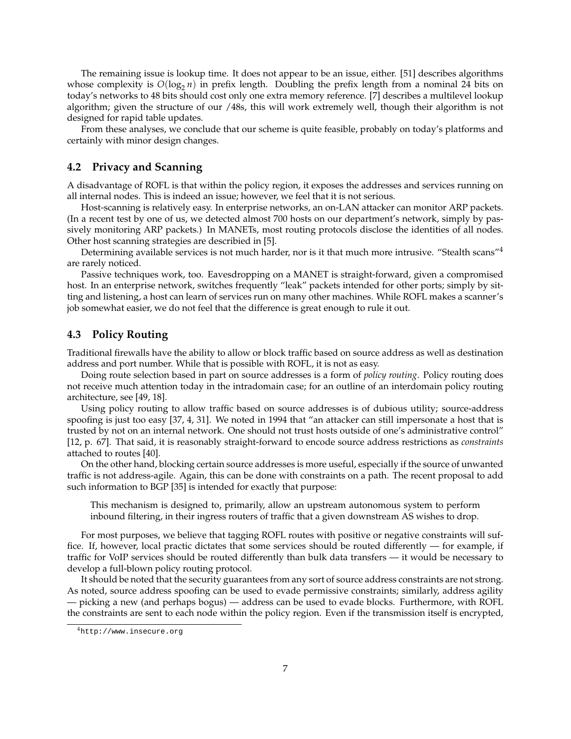The remaining issue is lookup time. It does not appear to be an issue, either. [51] describes algorithms whose complexity is  $O(log_2 n)$  in prefix length. Doubling the prefix length from a nominal 24 bits on today's networks to 48 bits should cost only one extra memory reference. [7] describes a multilevel lookup algorithm; given the structure of our /48s, this will work extremely well, though their algorithm is not designed for rapid table updates.

From these analyses, we conclude that our scheme is quite feasible, probably on today's platforms and certainly with minor design changes.

#### **4.2 Privacy and Scanning**

A disadvantage of ROFL is that within the policy region, it exposes the addresses and services running on all internal nodes. This is indeed an issue; however, we feel that it is not serious.

Host-scanning is relatively easy. In enterprise networks, an on-LAN attacker can monitor ARP packets. (In a recent test by one of us, we detected almost 700 hosts on our department's network, simply by passively monitoring ARP packets.) In MANETs, most routing protocols disclose the identities of all nodes. Other host scanning strategies are describied in [5].

Determining available services is not much harder, nor is it that much more intrusive. "Stealth scans"<sup>4</sup> are rarely noticed.

Passive techniques work, too. Eavesdropping on a MANET is straight-forward, given a compromised host. In an enterprise network, switches frequently "leak" packets intended for other ports; simply by sitting and listening, a host can learn of services run on many other machines. While ROFL makes a scanner's job somewhat easier, we do not feel that the difference is great enough to rule it out.

#### **4.3 Policy Routing**

Traditional firewalls have the ability to allow or block traffic based on source address as well as destination address and port number. While that is possible with ROFL, it is not as easy.

Doing route selection based in part on source addresses is a form of *policy routing*. Policy routing does not receive much attention today in the intradomain case; for an outline of an interdomain policy routing architecture, see [49, 18].

Using policy routing to allow traffic based on source addresses is of dubious utility; source-address spoofing is just too easy [37, 4, 31]. We noted in 1994 that "an attacker can still impersonate a host that is trusted by not on an internal network. One should not trust hosts outside of one's administrative control" [12, p. 67]. That said, it is reasonably straight-forward to encode source address restrictions as *constraints* attached to routes [40].

On the other hand, blocking certain source addresses is more useful, especially if the source of unwanted traffic is not address-agile. Again, this can be done with constraints on a path. The recent proposal to add such information to BGP [35] is intended for exactly that purpose:

This mechanism is designed to, primarily, allow an upstream autonomous system to perform inbound filtering, in their ingress routers of traffic that a given downstream AS wishes to drop.

For most purposes, we believe that tagging ROFL routes with positive or negative constraints will suffice. If, however, local practic dictates that some services should be routed differently — for example, if traffic for VoIP services should be routed differently than bulk data transfers — it would be necessary to develop a full-blown policy routing protocol.

It should be noted that the security guarantees from any sort of source address constraints are not strong. As noted, source address spoofing can be used to evade permissive constraints; similarly, address agility — picking a new (and perhaps bogus) — address can be used to evade blocks. Furthermore, with ROFL the constraints are sent to each node within the policy region. Even if the transmission itself is encrypted,

<sup>4</sup>http://www.insecure.org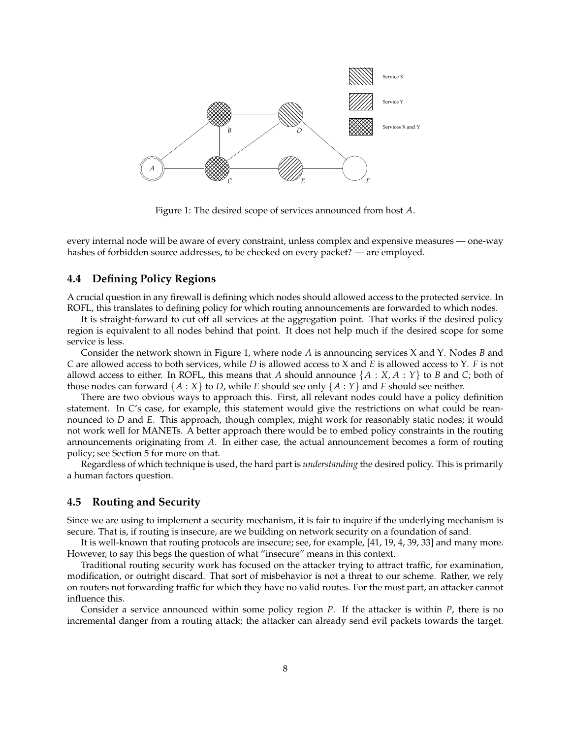

Figure 1: The desired scope of services announced from host *A*.

every internal node will be aware of every constraint, unless complex and expensive measures — one-way hashes of forbidden source addresses, to be checked on every packet? — are employed.

#### **4.4 Defining Policy Regions**

A crucial question in any firewall is defining which nodes should allowed access to the protected service. In ROFL, this translates to defining policy for which routing announcements are forwarded to which nodes.

It is straight-forward to cut off all services at the aggregation point. That works if the desired policy region is equivalent to all nodes behind that point. It does not help much if the desired scope for some service is less.

Consider the network shown in Figure 1, where node *A* is announcing services X and Y. Nodes *B* and *C* are allowed access to both services, while *D* is allowed access to X and *E* is allowed access to Y. *F* is not allowd access to either. In ROFL, this means that *A* should announce  $\{A : X, A : Y\}$  to *B* and *C*; both of those nodes can forward  $\{A : X\}$  to *D*, while *E* should see only  $\{A : Y\}$  and *F* should see neither.

There are two obvious ways to approach this. First, all relevant nodes could have a policy definition statement. In *C*'s case, for example, this statement would give the restrictions on what could be reannounced to *D* and *E*. This approach, though complex, might work for reasonably static nodes; it would not work well for MANETs. A better approach there would be to embed policy constraints in the routing announcements originating from *A*. In either case, the actual announcement becomes a form of routing policy; see Section 5 for more on that.

Regardless of which technique is used, the hard part is *understanding* the desired policy. This is primarily a human factors question.

#### **4.5 Routing and Security**

Since we are using to implement a security mechanism, it is fair to inquire if the underlying mechanism is secure. That is, if routing is insecure, are we building on network security on a foundation of sand.

It is well-known that routing protocols are insecure; see, for example, [41, 19, 4, 39, 33] and many more. However, to say this begs the question of what "insecure" means in this context.

Traditional routing security work has focused on the attacker trying to attract traffic, for examination, modification, or outright discard. That sort of misbehavior is not a threat to our scheme. Rather, we rely on routers not forwarding traffic for which they have no valid routes. For the most part, an attacker cannot influence this.

Consider a service announced within some policy region *P*. If the attacker is within *P*, there is no incremental danger from a routing attack; the attacker can already send evil packets towards the target.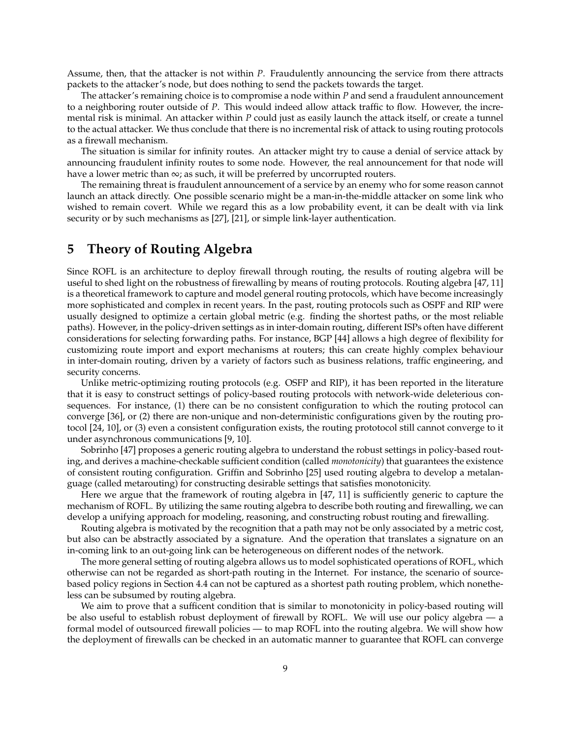Assume, then, that the attacker is not within *P*. Fraudulently announcing the service from there attracts packets to the attacker's node, but does nothing to send the packets towards the target.

The attacker's remaining choice is to compromise a node within *P* and send a fraudulent announcement to a neighboring router outside of *P*. This would indeed allow attack traffic to flow. However, the incremental risk is minimal. An attacker within *P* could just as easily launch the attack itself, or create a tunnel to the actual attacker. We thus conclude that there is no incremental risk of attack to using routing protocols as a firewall mechanism.

The situation is similar for infinity routes. An attacker might try to cause a denial of service attack by announcing fraudulent infinity routes to some node. However, the real announcement for that node will have a lower metric than  $\infty$ ; as such, it will be preferred by uncorrupted routers.

The remaining threat is fraudulent announcement of a service by an enemy who for some reason cannot launch an attack directly. One possible scenario might be a man-in-the-middle attacker on some link who wished to remain covert. While we regard this as a low probability event, it can be dealt with via link security or by such mechanisms as [27], [21], or simple link-layer authentication.

# **5 Theory of Routing Algebra**

Since ROFL is an architecture to deploy firewall through routing, the results of routing algebra will be useful to shed light on the robustness of firewalling by means of routing protocols. Routing algebra [47, 11] is a theoretical framework to capture and model general routing protocols, which have become increasingly more sophisticated and complex in recent years. In the past, routing protocols such as OSPF and RIP were usually designed to optimize a certain global metric (e.g. finding the shortest paths, or the most reliable paths). However, in the policy-driven settings as in inter-domain routing, different ISPs often have different considerations for selecting forwarding paths. For instance, BGP [44] allows a high degree of flexibility for customizing route import and export mechanisms at routers; this can create highly complex behaviour in inter-domain routing, driven by a variety of factors such as business relations, traffic engineering, and security concerns.

Unlike metric-optimizing routing protocols (e.g. OSFP and RIP), it has been reported in the literature that it is easy to construct settings of policy-based routing protocols with network-wide deleterious consequences. For instance, (1) there can be no consistent configuration to which the routing protocol can converge [36], or (2) there are non-unique and non-deterministic configurations given by the routing protocol [24, 10], or (3) even a consistent configuration exists, the routing prototocol still cannot converge to it under asynchronous communications [9, 10].

Sobrinho [47] proposes a generic routing algebra to understand the robust settings in policy-based routing, and derives a machine-checkable sufficient condition (called *monotonicity*) that guarantees the existence of consistent routing configuration. Griffin and Sobrinho [25] used routing algebra to develop a metalanguage (called metarouting) for constructing desirable settings that satisfies monotonicity.

Here we argue that the framework of routing algebra in [47, 11] is sufficiently generic to capture the mechanism of ROFL. By utilizing the same routing algebra to describe both routing and firewalling, we can develop a unifying approach for modeling, reasoning, and constructing robust routing and firewalling.

Routing algebra is motivated by the recognition that a path may not be only associated by a metric cost, but also can be abstractly associated by a signature. And the operation that translates a signature on an in-coming link to an out-going link can be heterogeneous on different nodes of the network.

The more general setting of routing algebra allows us to model sophisticated operations of ROFL, which otherwise can not be regarded as short-path routing in the Internet. For instance, the scenario of sourcebased policy regions in Section 4.4 can not be captured as a shortest path routing problem, which nonetheless can be subsumed by routing algebra.

We aim to prove that a sufficent condition that is similar to monotonicity in policy-based routing will be also useful to establish robust deployment of firewall by ROFL. We will use our policy algebra — a formal model of outsourced firewall policies — to map ROFL into the routing algebra. We will show how the deployment of firewalls can be checked in an automatic manner to guarantee that ROFL can converge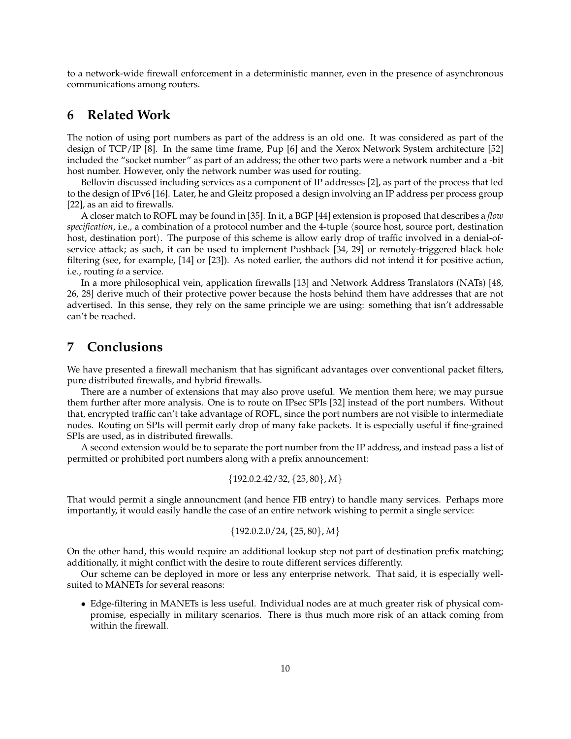to a network-wide firewall enforcement in a deterministic manner, even in the presence of asynchronous communications among routers.

# **6 Related Work**

The notion of using port numbers as part of the address is an old one. It was considered as part of the design of TCP/IP [8]. In the same time frame, Pup [6] and the Xerox Network System architecture [52] included the "socket number" as part of an address; the other two parts were a network number and a -bit host number. However, only the network number was used for routing.

Bellovin discussed including services as a component of IP addresses [2], as part of the process that led to the design of IPv6 [16]. Later, he and Gleitz proposed a design involving an IP address per process group [22], as an aid to firewalls.

A closer match to ROFL may be found in [35]. In it, a BGP [44] extension is proposed that describes a *flow specification*, i.e., a combination of a protocol number and the 4-tuple (source host, source port, destination host, destination port). The purpose of this scheme is allow early drop of traffic involved in a denial-ofservice attack; as such, it can be used to implement Pushback [34, 29] or remotely-triggered black hole filtering (see, for example, [14] or [23]). As noted earlier, the authors did not intend it for positive action, i.e., routing *to* a service.

In a more philosophical vein, application firewalls [13] and Network Address Translators (NATs) [48, 26, 28] derive much of their protective power because the hosts behind them have addresses that are not advertised. In this sense, they rely on the same principle we are using: something that isn't addressable can't be reached.

# **7 Conclusions**

We have presented a firewall mechanism that has significant advantages over conventional packet filters, pure distributed firewalls, and hybrid firewalls.

There are a number of extensions that may also prove useful. We mention them here; we may pursue them further after more analysis. One is to route on IPsec SPIs [32] instead of the port numbers. Without that, encrypted traffic can't take advantage of ROFL, since the port numbers are not visible to intermediate nodes. Routing on SPIs will permit early drop of many fake packets. It is especially useful if fine-grained SPIs are used, as in distributed firewalls.

A second extension would be to separate the port number from the IP address, and instead pass a list of permitted or prohibited port numbers along with a prefix announcement:

$$
\{192.0.2.42/32, \{25, 80\}, M\}
$$

That would permit a single announcment (and hence FIB entry) to handle many services. Perhaps more importantly, it would easily handle the case of an entire network wishing to permit a single service:

$$
\{192.0.2.0/24, \{25, 80\}, M\}
$$

On the other hand, this would require an additional lookup step not part of destination prefix matching; additionally, it might conflict with the desire to route different services differently.

Our scheme can be deployed in more or less any enterprise network. That said, it is especially wellsuited to MANETs for several reasons:

• Edge-filtering in MANETs is less useful. Individual nodes are at much greater risk of physical compromise, especially in military scenarios. There is thus much more risk of an attack coming from within the firewall.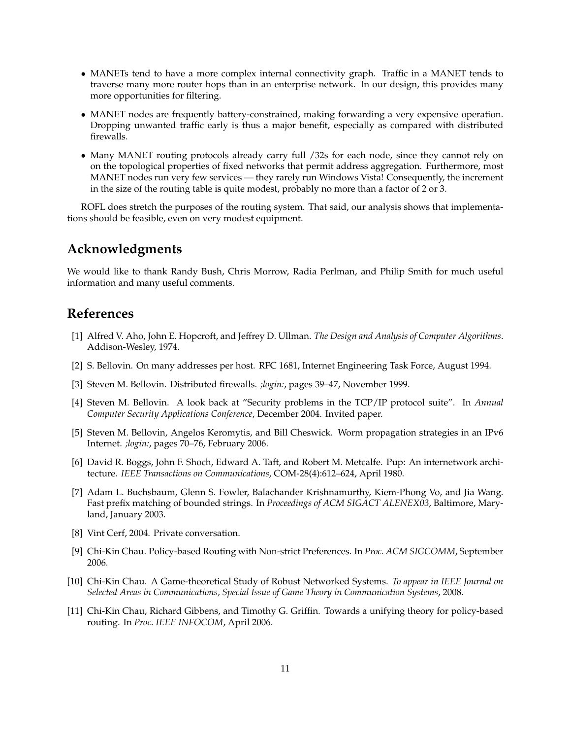- MANETs tend to have a more complex internal connectivity graph. Traffic in a MANET tends to traverse many more router hops than in an enterprise network. In our design, this provides many more opportunities for filtering.
- MANET nodes are frequently battery-constrained, making forwarding a very expensive operation. Dropping unwanted traffic early is thus a major benefit, especially as compared with distributed firewalls.
- Many MANET routing protocols already carry full /32s for each node, since they cannot rely on on the topological properties of fixed networks that permit address aggregation. Furthermore, most MANET nodes run very few services — they rarely run Windows Vista! Consequently, the increment in the size of the routing table is quite modest, probably no more than a factor of 2 or 3.

ROFL does stretch the purposes of the routing system. That said, our analysis shows that implementations should be feasible, even on very modest equipment.

# **Acknowledgments**

We would like to thank Randy Bush, Chris Morrow, Radia Perlman, and Philip Smith for much useful information and many useful comments.

# **References**

- [1] Alfred V. Aho, John E. Hopcroft, and Jeffrey D. Ullman. *The Design and Analysis of Computer Algorithms*. Addison-Wesley, 1974.
- [2] S. Bellovin. On many addresses per host. RFC 1681, Internet Engineering Task Force, August 1994.
- [3] Steven M. Bellovin. Distributed firewalls. *;login:*, pages 39–47, November 1999.
- [4] Steven M. Bellovin. A look back at "Security problems in the TCP/IP protocol suite". In *Annual Computer Security Applications Conference*, December 2004. Invited paper.
- [5] Steven M. Bellovin, Angelos Keromytis, and Bill Cheswick. Worm propagation strategies in an IPv6 Internet. *;login:*, pages 70–76, February 2006.
- [6] David R. Boggs, John F. Shoch, Edward A. Taft, and Robert M. Metcalfe. Pup: An internetwork architecture. *IEEE Transactions on Communications*, COM-28(4):612–624, April 1980.
- [7] Adam L. Buchsbaum, Glenn S. Fowler, Balachander Krishnamurthy, Kiem-Phong Vo, and Jia Wang. Fast prefix matching of bounded strings. In *Proceedings of ACM SIGACT ALENEX03*, Baltimore, Maryland, January 2003.
- [8] Vint Cerf, 2004. Private conversation.
- [9] Chi-Kin Chau. Policy-based Routing with Non-strict Preferences. In *Proc. ACM SIGCOMM*, September 2006.
- [10] Chi-Kin Chau. A Game-theoretical Study of Robust Networked Systems. *To appear in IEEE Journal on Selected Areas in Communications, Special Issue of Game Theory in Communication Systems*, 2008.
- [11] Chi-Kin Chau, Richard Gibbens, and Timothy G. Griffin. Towards a unifying theory for policy-based routing. In *Proc. IEEE INFOCOM*, April 2006.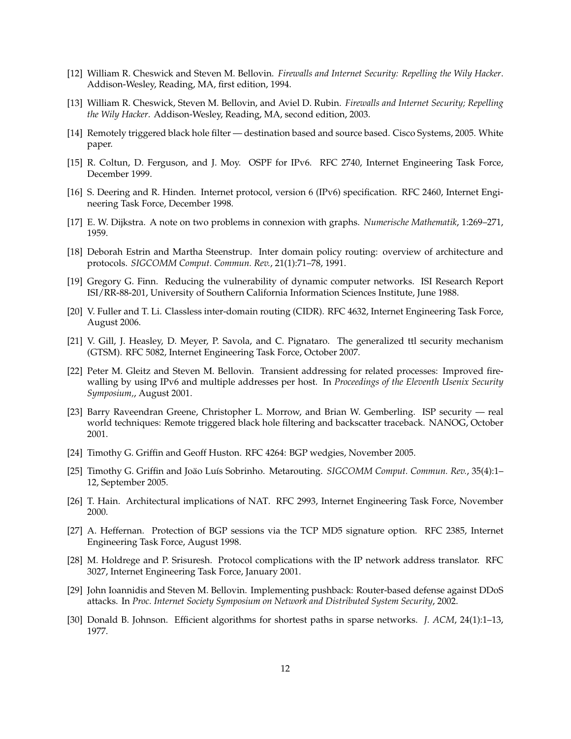- [12] William R. Cheswick and Steven M. Bellovin. *Firewalls and Internet Security: Repelling the Wily Hacker*. Addison-Wesley, Reading, MA, first edition, 1994.
- [13] William R. Cheswick, Steven M. Bellovin, and Aviel D. Rubin. *Firewalls and Internet Security; Repelling the Wily Hacker*. Addison-Wesley, Reading, MA, second edition, 2003.
- [14] Remotely triggered black hole filter destination based and source based. Cisco Systems, 2005. White paper.
- [15] R. Coltun, D. Ferguson, and J. Moy. OSPF for IPv6. RFC 2740, Internet Engineering Task Force, December 1999.
- [16] S. Deering and R. Hinden. Internet protocol, version 6 (IPv6) specification. RFC 2460, Internet Engineering Task Force, December 1998.
- [17] E. W. Dijkstra. A note on two problems in connexion with graphs. *Numerische Mathematik*, 1:269–271, 1959.
- [18] Deborah Estrin and Martha Steenstrup. Inter domain policy routing: overview of architecture and protocols. *SIGCOMM Comput. Commun. Rev.*, 21(1):71–78, 1991.
- [19] Gregory G. Finn. Reducing the vulnerability of dynamic computer networks. ISI Research Report ISI/RR-88-201, University of Southern California Information Sciences Institute, June 1988.
- [20] V. Fuller and T. Li. Classless inter-domain routing (CIDR). RFC 4632, Internet Engineering Task Force, August 2006.
- [21] V. Gill, J. Heasley, D. Meyer, P. Savola, and C. Pignataro. The generalized ttl security mechanism (GTSM). RFC 5082, Internet Engineering Task Force, October 2007.
- [22] Peter M. Gleitz and Steven M. Bellovin. Transient addressing for related processes: Improved firewalling by using IPv6 and multiple addresses per host. In *Proceedings of the Eleventh Usenix Security Symposium,*, August 2001.
- [23] Barry Raveendran Greene, Christopher L. Morrow, and Brian W. Gemberling. ISP security real world techniques: Remote triggered black hole filtering and backscatter traceback. NANOG, October 2001.
- [24] Timothy G. Griffin and Geoff Huston. RFC 4264: BGP wedgies, November 2005.
- [25] Timothy G. Griffin and Joäo Luís Sobrinho. Metarouting. *SIGCOMM Comput. Commun. Rev.*, 35(4):1-12, September 2005.
- [26] T. Hain. Architectural implications of NAT. RFC 2993, Internet Engineering Task Force, November 2000.
- [27] A. Heffernan. Protection of BGP sessions via the TCP MD5 signature option. RFC 2385, Internet Engineering Task Force, August 1998.
- [28] M. Holdrege and P. Srisuresh. Protocol complications with the IP network address translator. RFC 3027, Internet Engineering Task Force, January 2001.
- [29] John Ioannidis and Steven M. Bellovin. Implementing pushback: Router-based defense against DDoS attacks. In *Proc. Internet Society Symposium on Network and Distributed System Security*, 2002.
- [30] Donald B. Johnson. Efficient algorithms for shortest paths in sparse networks. *J. ACM*, 24(1):1–13, 1977.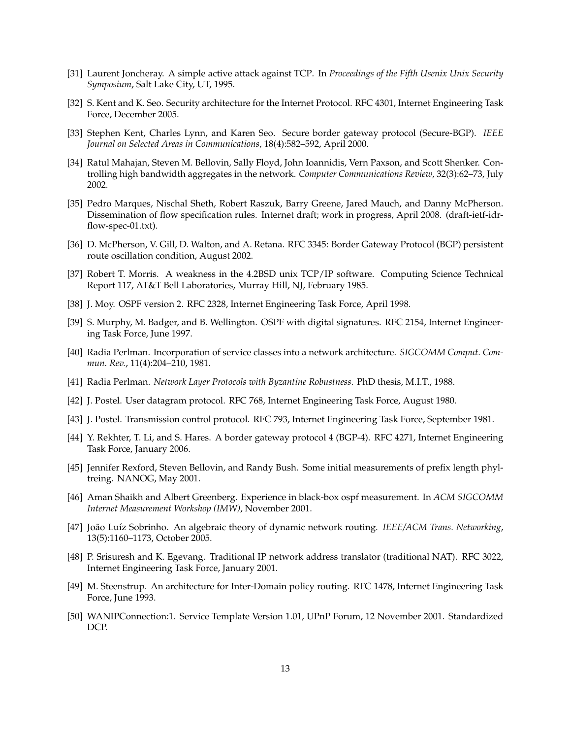- [31] Laurent Joncheray. A simple active attack against TCP. In *Proceedings of the Fifth Usenix Unix Security Symposium*, Salt Lake City, UT, 1995.
- [32] S. Kent and K. Seo. Security architecture for the Internet Protocol. RFC 4301, Internet Engineering Task Force, December 2005.
- [33] Stephen Kent, Charles Lynn, and Karen Seo. Secure border gateway protocol (Secure-BGP). *IEEE Journal on Selected Areas in Communications*, 18(4):582–592, April 2000.
- [34] Ratul Mahajan, Steven M. Bellovin, Sally Floyd, John Ioannidis, Vern Paxson, and Scott Shenker. Controlling high bandwidth aggregates in the network. *Computer Communications Review*, 32(3):62–73, July 2002.
- [35] Pedro Marques, Nischal Sheth, Robert Raszuk, Barry Greene, Jared Mauch, and Danny McPherson. Dissemination of flow specification rules. Internet draft; work in progress, April 2008. (draft-ietf-idrflow-spec-01.txt).
- [36] D. McPherson, V. Gill, D. Walton, and A. Retana. RFC 3345: Border Gateway Protocol (BGP) persistent route oscillation condition, August 2002.
- [37] Robert T. Morris. A weakness in the 4.2BSD unix TCP/IP software. Computing Science Technical Report 117, AT&T Bell Laboratories, Murray Hill, NJ, February 1985.
- [38] J. Moy. OSPF version 2. RFC 2328, Internet Engineering Task Force, April 1998.
- [39] S. Murphy, M. Badger, and B. Wellington. OSPF with digital signatures. RFC 2154, Internet Engineering Task Force, June 1997.
- [40] Radia Perlman. Incorporation of service classes into a network architecture. *SIGCOMM Comput. Commun. Rev.*, 11(4):204–210, 1981.
- [41] Radia Perlman. *Network Layer Protocols with Byzantine Robustness*. PhD thesis, M.I.T., 1988.
- [42] J. Postel. User datagram protocol. RFC 768, Internet Engineering Task Force, August 1980.
- [43] J. Postel. Transmission control protocol. RFC 793, Internet Engineering Task Force, September 1981.
- [44] Y. Rekhter, T. Li, and S. Hares. A border gateway protocol 4 (BGP-4). RFC 4271, Internet Engineering Task Force, January 2006.
- [45] Jennifer Rexford, Steven Bellovin, and Randy Bush. Some initial measurements of prefix length phyltreing. NANOG, May 2001.
- [46] Aman Shaikh and Albert Greenberg. Experience in black-box ospf measurement. In *ACM SIGCOMM Internet Measurement Workshop (IMW)*, November 2001.
- [47] João Luíz Sobrinho. An algebraic theory of dynamic network routing. *IEEE/ACM Trans. Networking*, 13(5):1160–1173, October 2005.
- [48] P. Srisuresh and K. Egevang. Traditional IP network address translator (traditional NAT). RFC 3022, Internet Engineering Task Force, January 2001.
- [49] M. Steenstrup. An architecture for Inter-Domain policy routing. RFC 1478, Internet Engineering Task Force, June 1993.
- [50] WANIPConnection:1. Service Template Version 1.01, UPnP Forum, 12 November 2001. Standardized DCP.